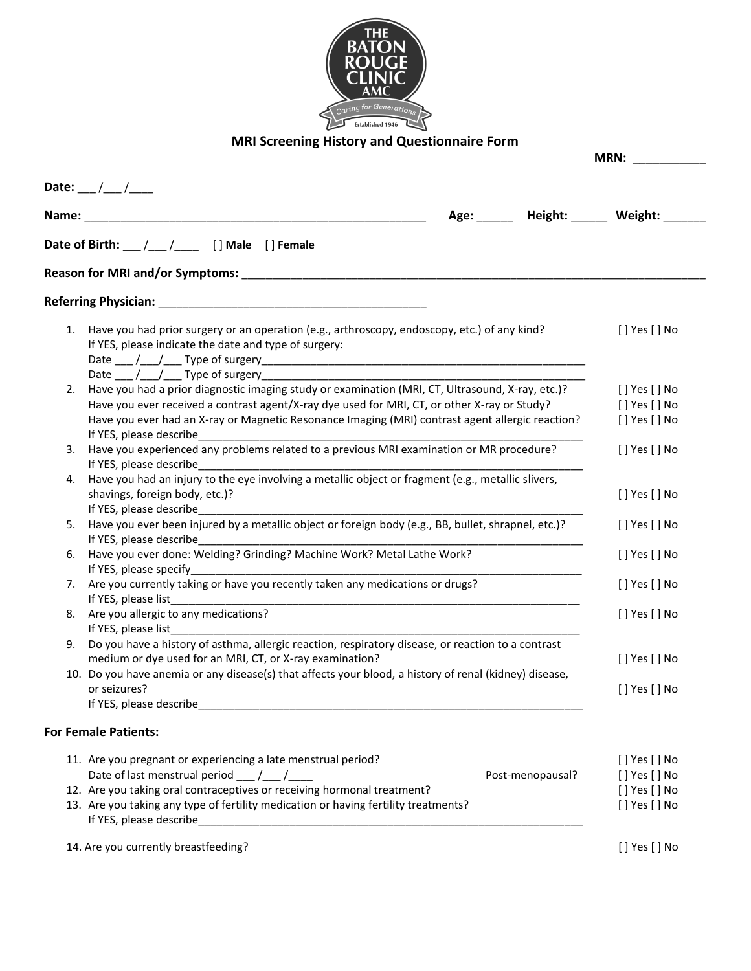

## **MRI Screening History and Questionnaire Form**

|                                                                                                                                                                                                                                                                               |              | MRN:                 |                |
|-------------------------------------------------------------------------------------------------------------------------------------------------------------------------------------------------------------------------------------------------------------------------------|--------------|----------------------|----------------|
| Date: __/ __/ __                                                                                                                                                                                                                                                              |              | Age: Height: Weight: |                |
| Date of Birth: __/__/___ [] Male [] Female                                                                                                                                                                                                                                    |              |                      |                |
|                                                                                                                                                                                                                                                                               |              |                      |                |
|                                                                                                                                                                                                                                                                               |              |                      |                |
| Have you had prior surgery or an operation (e.g., arthroscopy, endoscopy, etc.) of any kind?<br>1.<br>If YES, please indicate the date and type of surgery:                                                                                                                   |              |                      | [ ] Yes [ ] No |
|                                                                                                                                                                                                                                                                               |              |                      |                |
| Have you had a prior diagnostic imaging study or examination (MRI, CT, Ultrasound, X-ray, etc.)?<br>2.                                                                                                                                                                        |              |                      | [ ] Yes [ ] No |
| Have you ever received a contrast agent/X-ray dye used for MRI, CT, or other X-ray or Study?                                                                                                                                                                                  |              |                      | [ ] Yes [ ] No |
| Have you ever had an X-ray or Magnetic Resonance Imaging (MRI) contrast agent allergic reaction?                                                                                                                                                                              |              |                      | [ ] Yes [ ] No |
| If YES, please describe<br>Have you experienced any problems related to a previous MRI examination or MR procedure?<br>3.<br>If YES, please describe<br><u> 1989 - Johann Stoff, deutscher Stoff, der Stoff, der Stoff, der Stoff, der Stoff, der Stoff, der Stoff, der S</u> | [] Yes [] No |                      |                |
| Have you had an injury to the eye involving a metallic object or fragment (e.g., metallic slivers,<br>4.<br>shavings, foreign body, etc.)?<br>If YES, please describe                                                                                                         |              |                      | [] Yes [] No   |
| Have you ever been injured by a metallic object or foreign body (e.g., BB, bullet, shrapnel, etc.)?<br>5.<br>If YES, please describe                                                                                                                                          | [] Yes [] No |                      |                |
| Have you ever done: Welding? Grinding? Machine Work? Metal Lathe Work?<br>6.<br>If YES, please specify<br><u> 1980 - Jan James James James James James James James James James James James James James James James James J</u>                                                |              |                      | [] Yes [] No   |
| Are you currently taking or have you recently taken any medications or drugs?<br>7.<br>If YES, please list                                                                                                                                                                    |              |                      | [] Yes [] No   |
| Are you allergic to any medications?<br>8.<br>If YES, please list                                                                                                                                                                                                             |              |                      | [ ] Yes [ ] No |
| Do you have a history of asthma, allergic reaction, respiratory disease, or reaction to a contrast<br>9.<br>medium or dye used for an MRI, CT, or X-ray examination?                                                                                                          |              |                      | [] Yes [] No   |
| 10. Do you have anemia or any disease(s) that affects your blood, a history of renal (kidney) disease,<br>or seizures?                                                                                                                                                        |              |                      | [] Yes [] No   |
|                                                                                                                                                                                                                                                                               |              |                      |                |
| <b>For Female Patients:</b>                                                                                                                                                                                                                                                   |              |                      |                |
| 11. Are you pregnant or experiencing a late menstrual period?                                                                                                                                                                                                                 |              |                      | [] Yes [] No   |
| Date of last menstrual period ___ /___ /____                                                                                                                                                                                                                                  |              | Post-menopausal?     | [] Yes [] No   |
| 12. Are you taking oral contraceptives or receiving hormonal treatment?                                                                                                                                                                                                       |              |                      | [ ] Yes [ ] No |
| 13. Are you taking any type of fertility medication or having fertility treatments?                                                                                                                                                                                           |              |                      | [] Yes [] No   |
| 14. Are you currently breastfeeding?                                                                                                                                                                                                                                          |              |                      | [] Yes [] No   |